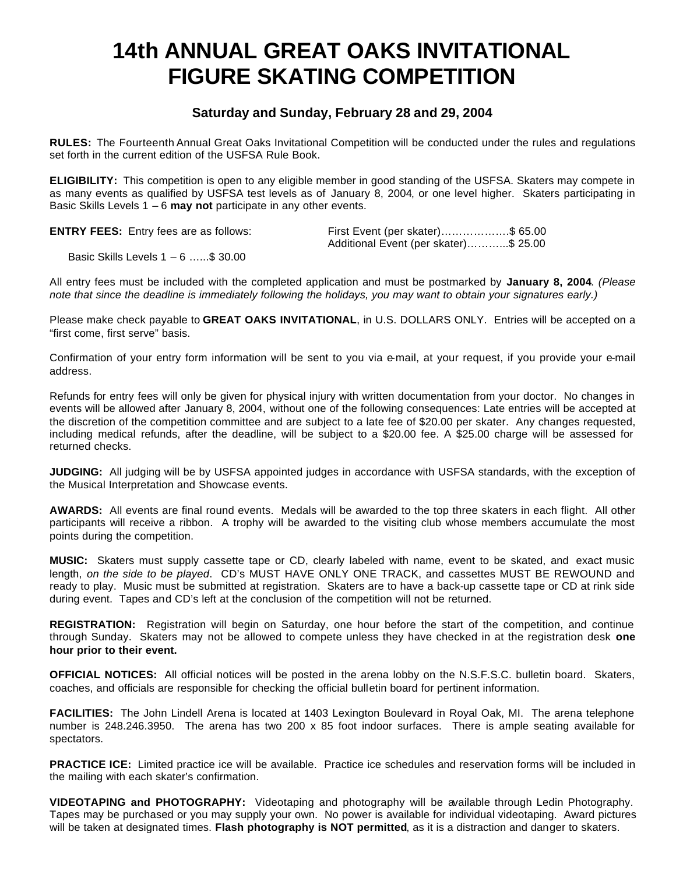# **14th ANNUAL GREAT OAKS INVITATIONAL FIGURE SKATING COMPETITION**

### **Saturday and Sunday, February 28 and 29, 2004**

**RULES:** The Fourteenth Annual Great Oaks Invitational Competition will be conducted under the rules and regulations set forth in the current edition of the USFSA Rule Book.

**ELIGIBILITY:** This competition is open to any eligible member in good standing of the USFSA. Skaters may compete in as many events as qualified by USFSA test levels as of January 8, 2004, or one level higher. Skaters participating in Basic Skills Levels 1 – 6 **may not** participate in any other events.

**ENTRY FEES:** Entry fees are as follows: First Event (per skater)……………….\$ 65.00

Additional Event (per skater)………...\$ 25.00

Basic Skills Levels 1 – 6 …...\$ 30.00

All entry fees must be included with the completed application and must be postmarked by **January 8, 2004**. *(Please note that since the deadline is immediately following the holidays, you may want to obtain your signatures early.)*

Please make check payable to **GREAT OAKS INVITATIONAL**, in U.S. DOLLARS ONLY. Entries will be accepted on a "first come, first serve" basis.

Confirmation of your entry form information will be sent to you via e-mail, at your request, if you provide your e-mail address.

Refunds for entry fees will only be given for physical injury with written documentation from your doctor. No changes in events will be allowed after January 8, 2004, without one of the following consequences: Late entries will be accepted at the discretion of the competition committee and are subject to a late fee of \$20.00 per skater. Any changes requested, including medical refunds, after the deadline, will be subject to a \$20.00 fee. A \$25.00 charge will be assessed for returned checks.

**JUDGING:** All judging will be by USFSA appointed judges in accordance with USFSA standards, with the exception of the Musical Interpretation and Showcase events.

**AWARDS:** All events are final round events. Medals will be awarded to the top three skaters in each flight. All other participants will receive a ribbon. A trophy will be awarded to the visiting club whose members accumulate the most points during the competition.

**MUSIC:** Skaters must supply cassette tape or CD, clearly labeled with name, event to be skated, and exact music length, *on the side to be played*. CD's MUST HAVE ONLY ONE TRACK, and cassettes MUST BE REWOUND and ready to play. Music must be submitted at registration. Skaters are to have a back-up cassette tape or CD at rink side during event. Tapes and CD's left at the conclusion of the competition will not be returned.

**REGISTRATION:** Registration will begin on Saturday, one hour before the start of the competition, and continue through Sunday. Skaters may not be allowed to compete unless they have checked in at the registration desk **one hour prior to their event.**

**OFFICIAL NOTICES:** All official notices will be posted in the arena lobby on the N.S.F.S.C. bulletin board. Skaters, coaches, and officials are responsible for checking the official bulletin board for pertinent information.

**FACILITIES:** The John Lindell Arena is located at 1403 Lexington Boulevard in Royal Oak, MI. The arena telephone number is 248.246.3950. The arena has two 200 x 85 foot indoor surfaces. There is ample seating available for spectators.

**PRACTICE ICE:** Limited practice ice will be available. Practice ice schedules and reservation forms will be included in the mailing with each skater's confirmation.

**VIDEOTAPING and PHOTOGRAPHY:** Videotaping and photography will be available through Ledin Photography. Tapes may be purchased or you may supply your own. No power is available for individual videotaping. Award pictures will be taken at designated times. **Flash photography is NOT permitted**, as it is a distraction and danger to skaters.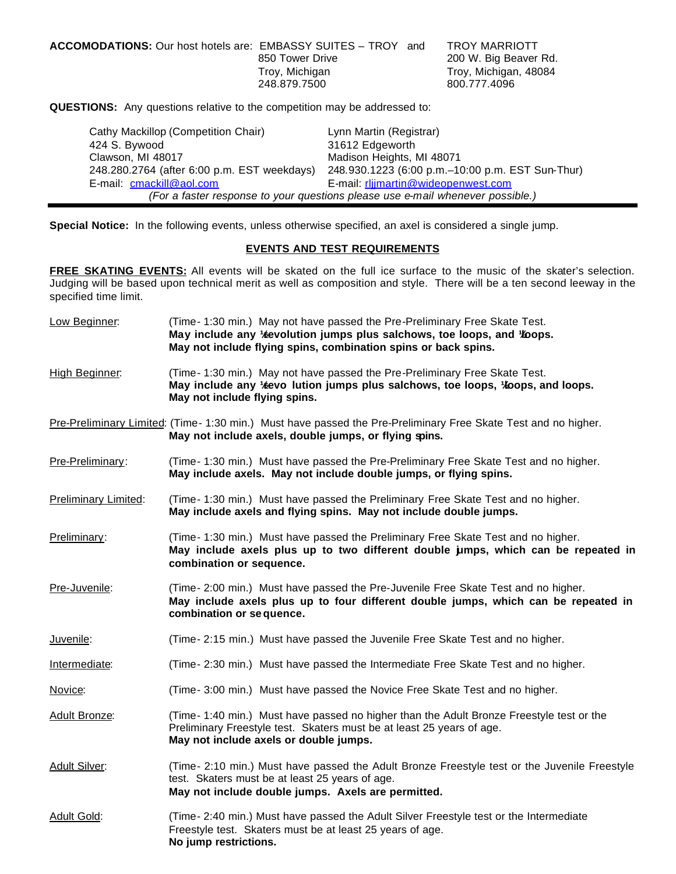| <b>ACCOMODATIONS:</b> Our host hotels are: EMBASSY SUITES – TROY and | 850 Tower Drive                | <b>TROY MARRIOTT</b><br>200 W. Big Beaver Rd. |
|----------------------------------------------------------------------|--------------------------------|-----------------------------------------------|
|                                                                      | Troy, Michigan<br>248.879.7500 | Troy, Michigan, 48084<br>800.777.4096         |

**QUESTIONS:** Any questions relative to the competition may be addressed to:

| Cathy Mackillop (Competition Chair)         | Lynn Martin (Registrar)                                                        |
|---------------------------------------------|--------------------------------------------------------------------------------|
| 424 S. Bywood                               | 31612 Edgeworth                                                                |
| Clawson, MI 48017                           | Madison Heights, MI 48071                                                      |
| 248.280.2764 (after 6:00 p.m. EST weekdays) | 248.930.1223 (6:00 p.m.–10:00 p.m. EST Sun-Thur)                               |
| E-mail: cmackill@aol.com                    | E-mail: rlijmartin@wideopenwest.com                                            |
|                                             | (For a faster response to your questions please use e-mail whenever possible.) |

**Special Notice:** In the following events, unless otherwise specified, an axel is considered a single jump.

#### **EVENTS AND TEST REQUIREMENTS**

**FREE SKATING EVENTS:** All events will be skated on the full ice surface to the music of the skater's selection. Judging will be based upon technical merit as well as composition and style. There will be a ten second leeway in the specified time limit.

| (Time- 1:30 min.) May not have passed the Pre-Preliminary Free Skate Test.<br>High Beginner:<br>May include any 1/2evo lution jumps plus salchows, toe loops, 1/20ops, and loops.<br>May not include flying spins.<br>Pre-Preliminary Limited: (Time- 1:30 min.) Must have passed the Pre-Preliminary Free Skate Test and no higher.<br>May not include axels, double jumps, or flying spins.<br>(Time- 1:30 min.) Must have passed the Pre-Preliminary Free Skate Test and no higher.<br>Pre-Preliminary:<br>May include axels. May not include double jumps, or flying spins.<br><b>Preliminary Limited:</b><br>(Time- 1:30 min.) Must have passed the Preliminary Free Skate Test and no higher. |  |
|-----------------------------------------------------------------------------------------------------------------------------------------------------------------------------------------------------------------------------------------------------------------------------------------------------------------------------------------------------------------------------------------------------------------------------------------------------------------------------------------------------------------------------------------------------------------------------------------------------------------------------------------------------------------------------------------------------|--|
|                                                                                                                                                                                                                                                                                                                                                                                                                                                                                                                                                                                                                                                                                                     |  |
|                                                                                                                                                                                                                                                                                                                                                                                                                                                                                                                                                                                                                                                                                                     |  |
|                                                                                                                                                                                                                                                                                                                                                                                                                                                                                                                                                                                                                                                                                                     |  |
| May include axels and flying spins. May not include double jumps.                                                                                                                                                                                                                                                                                                                                                                                                                                                                                                                                                                                                                                   |  |
| (Time- 1:30 min.) Must have passed the Preliminary Free Skate Test and no higher.<br>Preliminary:<br>May include axels plus up to two different double jumps, which can be repeated in<br>combination or sequence.                                                                                                                                                                                                                                                                                                                                                                                                                                                                                  |  |
| Pre-Juvenile:<br>(Time- 2:00 min.) Must have passed the Pre-Juvenile Free Skate Test and no higher.<br>May include axels plus up to four different double jumps, which can be repeated in<br>combination or sequence.                                                                                                                                                                                                                                                                                                                                                                                                                                                                               |  |
| Juvenile:<br>(Time- 2:15 min.) Must have passed the Juvenile Free Skate Test and no higher.                                                                                                                                                                                                                                                                                                                                                                                                                                                                                                                                                                                                         |  |
| (Time- 2:30 min.) Must have passed the Intermediate Free Skate Test and no higher.<br>Intermediate:                                                                                                                                                                                                                                                                                                                                                                                                                                                                                                                                                                                                 |  |
| (Time- 3:00 min.) Must have passed the Novice Free Skate Test and no higher.<br>Novice:                                                                                                                                                                                                                                                                                                                                                                                                                                                                                                                                                                                                             |  |
| (Time- 1:40 min.) Must have passed no higher than the Adult Bronze Freestyle test or the<br>Adult Bronze:<br>Preliminary Freestyle test. Skaters must be at least 25 years of age.<br>May not include axels or double jumps.                                                                                                                                                                                                                                                                                                                                                                                                                                                                        |  |
| <b>Adult Silver:</b><br>(Time- 2:10 min.) Must have passed the Adult Bronze Freestyle test or the Juvenile Freestyle<br>test. Skaters must be at least 25 years of age.<br>May not include double jumps. Axels are permitted.                                                                                                                                                                                                                                                                                                                                                                                                                                                                       |  |
| <b>Adult Gold:</b><br>(Time- 2:40 min.) Must have passed the Adult Silver Freestyle test or the Intermediate<br>Freestyle test. Skaters must be at least 25 years of age.<br>No jump restrictions.                                                                                                                                                                                                                                                                                                                                                                                                                                                                                                  |  |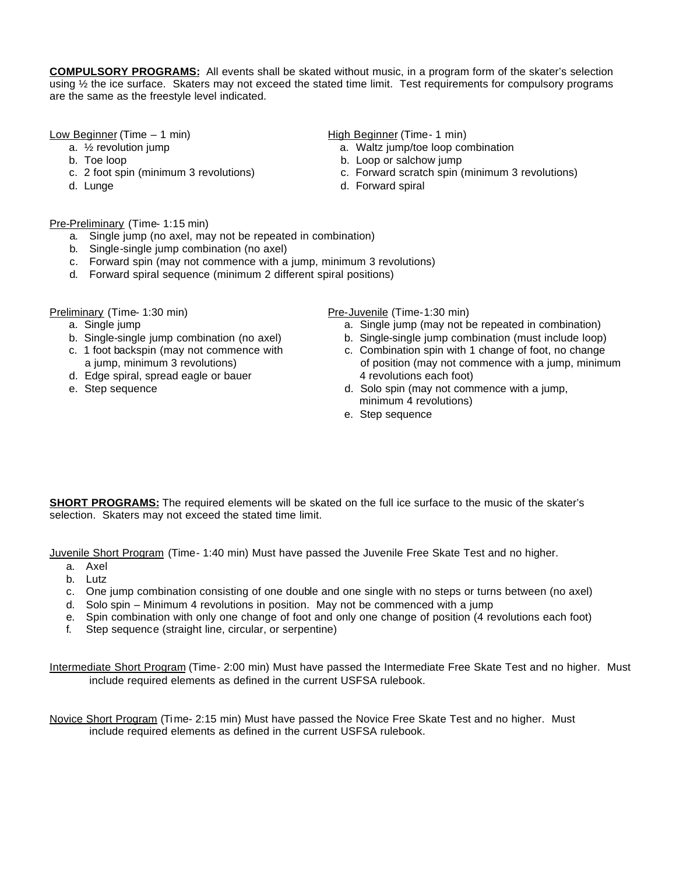**COMPULSORY PROGRAMS:** All events shall be skated without music, in a program form of the skater's selection using  $\frac{1}{2}$  the ice surface. Skaters may not exceed the stated time limit. Test requirements for compulsory programs are the same as the freestyle level indicated.

Low Beginner (Time – 1 min) The High Beginner (Time- 1 min)

- 
- 
- 
- 

- a.  $\frac{1}{2}$  revolution jump and the same contract as  $\frac{1}{2}$  revolution in the same contract of the same contract and the same contract and the same contract and the same contract and the same contract and the same con
- b. Toe loop b. Loop or salchow jump
- c. 2 foot spin (minimum 3 revolutions) c. Forward scratch spin (minimum 3 revolutions)
- d. Lunge d. Forward spiral

#### Pre-Preliminary (Time- 1:15 min)

- a. Single jump (no axel, may not be repeated in combination)
- b. Single-single jump combination (no axel)
- c. Forward spin (may not commence with a jump, minimum 3 revolutions)
- d. Forward spiral sequence (minimum 2 different spiral positions)

- 
- 
- 
- d. Edge spiral, spread eagle or bauer 4 revolutions each foot)
- 

Preliminary (Time- 1:30 min) Pre-Juvenile (Time-1:30 min)

- a. Single jump a. Single jump (may not be repeated in combination)
- b. Single-single jump combination (no axel) b. Single-single jump combination (must include loop)
- c. 1 foot backspin (may not commence with c. Combination spin with 1 change of foot, no change a jump, minimum 3 revolutions) of position (may not commence with a jump, minimum
- e. Step sequence d. Solo spin (may not commence with a jump, minimum 4 revolutions)
	- e. Step sequence

**SHORT PROGRAMS:** The required elements will be skated on the full ice surface to the music of the skater's selection. Skaters may not exceed the stated time limit.

Juvenile Short Program (Time- 1:40 min) Must have passed the Juvenile Free Skate Test and no higher.

- a. Axel
- b. Lutz
- c. One jump combination consisting of one double and one single with no steps or turns between (no axel)
- d. Solo spin Minimum 4 revolutions in position. May not be commenced with a jump
- e. Spin combination with only one change of foot and only one change of position (4 revolutions each foot)
- f. Step sequence (straight line, circular, or serpentine)

Intermediate Short Program (Time- 2:00 min) Must have passed the Intermediate Free Skate Test and no higher. Must include required elements as defined in the current USFSA rulebook.

Novice Short Program (Time- 2:15 min) Must have passed the Novice Free Skate Test and no higher. Must include required elements as defined in the current USFSA rulebook.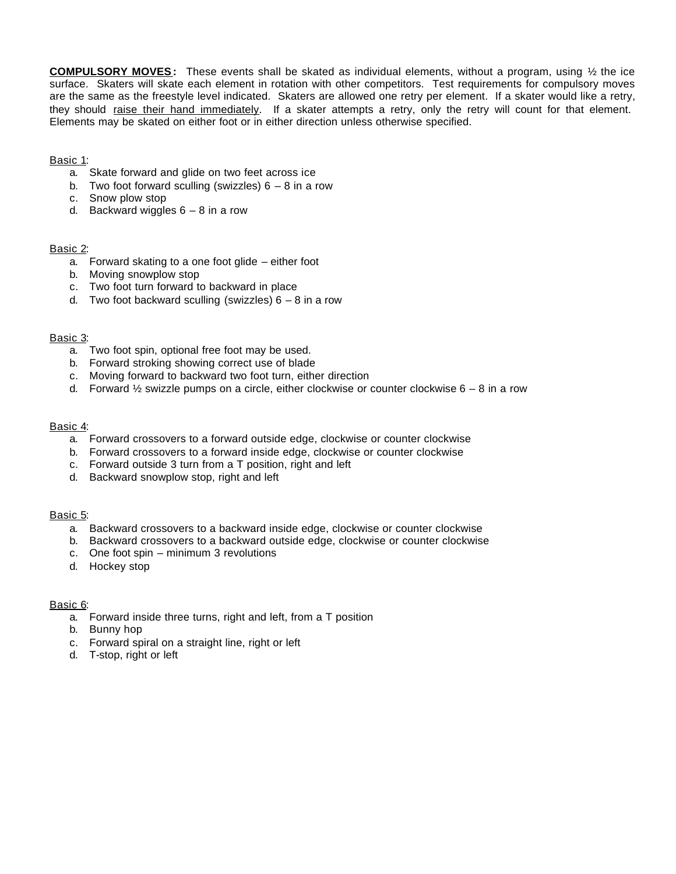**COMPULSORY MOVES:** These events shall be skated as individual elements, without a program, using ½ the ice surface. Skaters will skate each element in rotation with other competitors. Test requirements for compulsory moves are the same as the freestyle level indicated. Skaters are allowed one retry per element. If a skater would like a retry, they should raise their hand immediately. If a skater attempts a retry, only the retry will count for that element. Elements may be skated on either foot or in either direction unless otherwise specified.

#### Basic 1:

- a. Skate forward and glide on two feet across ice
- b. Two foot forward sculling (swizzles)  $6 8$  in a row
- c. Snow plow stop
- d. Backward wiggles  $6 8$  in a row

#### Basic 2:

- a. Forward skating to a one foot glide either foot
- b. Moving snowplow stop
- c. Two foot turn forward to backward in place
- d. Two foot backward sculling (swizzles)  $6 8$  in a row

#### Basic 3:

- a. Two foot spin, optional free foot may be used.
- b. Forward stroking showing correct use of blade
- c. Moving forward to backward two foot turn, either direction
- d. Forward  $\frac{1}{2}$  swizzle pumps on a circle, either clockwise or counter clockwise 6 8 in a row

#### Basic 4:

- a. Forward crossovers to a forward outside edge, clockwise or counter clockwise
- b. Forward crossovers to a forward inside edge, clockwise or counter clockwise
- c. Forward outside 3 turn from a T position, right and left
- d. Backward snowplow stop, right and left

#### Basic 5:

- a. Backward crossovers to a backward inside edge, clockwise or counter clockwise
- b. Backward crossovers to a backward outside edge, clockwise or counter clockwise
- c. One foot spin minimum 3 revolutions
- d. Hockey stop

#### Basic 6:

- a. Forward inside three turns, right and left, from a T position
- b. Bunny hop
- c. Forward spiral on a straight line, right or left
- d. T-stop, right or left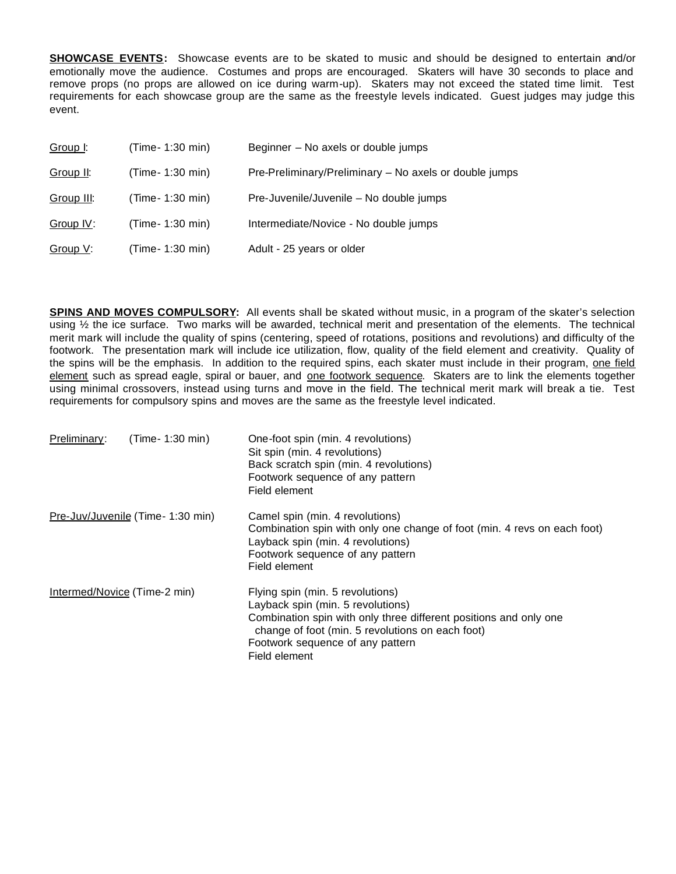**SHOWCASE EVENTS:** Showcase events are to be skated to music and should be designed to entertain and/or emotionally move the audience. Costumes and props are encouraged. Skaters will have 30 seconds to place and remove props (no props are allowed on ice during warm-up). Skaters may not exceed the stated time limit. Test requirements for each showcase group are the same as the freestyle levels indicated. Guest judges may judge this event.

| Group I:   | (Time- 1:30 min) | Beginner - No axels or double jumps                    |
|------------|------------------|--------------------------------------------------------|
| Group II:  | (Time- 1:30 min) | Pre-Preliminary/Preliminary - No axels or double jumps |
| Group III: | (Time- 1:30 min) | Pre-Juvenile/Juvenile - No double jumps                |
| Group IV:  | (Time- 1:30 min) | Intermediate/Novice - No double jumps                  |
| Group V:   | (Time- 1:30 min) | Adult - 25 years or older                              |

**SPINS AND MOVES COMPULSORY:** All events shall be skated without music, in a program of the skater's selection using ½ the ice surface. Two marks will be awarded, technical merit and presentation of the elements. The technical merit mark will include the quality of spins (centering, speed of rotations, positions and revolutions) and difficulty of the footwork. The presentation mark will include ice utilization, flow, quality of the field element and creativity. Quality of the spins will be the emphasis. In addition to the required spins, each skater must include in their program, one field element such as spread eagle, spiral or bauer, and one footwork sequence. Skaters are to link the elements together using minimal crossovers, instead using turns and move in the field. The technical merit mark will break a tie. Test requirements for compulsory spins and moves are the same as the freestyle level indicated.

| Preliminary:                 | (Time- 1:30 min)                  | One-foot spin (min. 4 revolutions)<br>Sit spin (min. 4 revolutions)<br>Back scratch spin (min. 4 revolutions)<br>Footwork sequence of any pattern<br>Field element                                                                                  |
|------------------------------|-----------------------------------|-----------------------------------------------------------------------------------------------------------------------------------------------------------------------------------------------------------------------------------------------------|
|                              | Pre-Juv/Juvenile (Time- 1:30 min) | Camel spin (min. 4 revolutions)<br>Combination spin with only one change of foot (min. 4 revs on each foot)<br>Layback spin (min. 4 revolutions)<br>Footwork sequence of any pattern<br>Field element                                               |
| Intermed/Novice (Time-2 min) |                                   | Flying spin (min. 5 revolutions)<br>Layback spin (min. 5 revolutions)<br>Combination spin with only three different positions and only one<br>change of foot (min. 5 revolutions on each foot)<br>Footwork sequence of any pattern<br>Field element |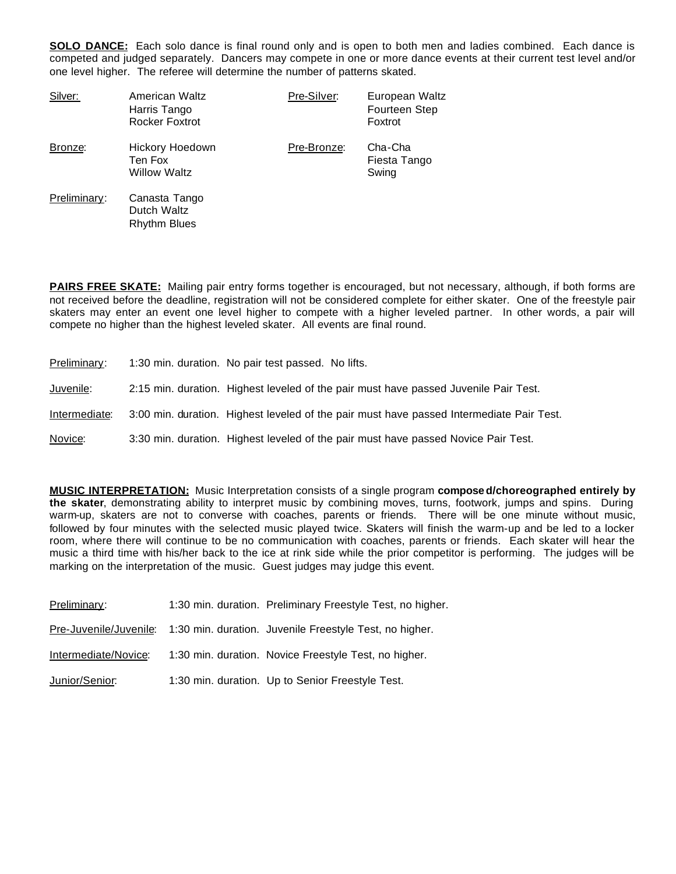**SOLO DANCE:** Each solo dance is final round only and is open to both men and ladies combined. Each dance is competed and judged separately. Dancers may compete in one or more dance events at their current test level and/or one level higher. The referee will determine the number of patterns skated.

| Silver:      | American Waltz<br>Harris Tango<br>Rocker Foxtrot    | Pre-Silver: | European Waltz<br>Fourteen Step<br>Foxtrot |
|--------------|-----------------------------------------------------|-------------|--------------------------------------------|
| Bronze:      | Hickory Hoedown<br>Ten Fox<br><b>Willow Waltz</b>   | Pre-Bronze: | Cha-Cha<br>Fiesta Tango<br>Swing           |
| Preliminary: | Canasta Tango<br>Dutch Waltz<br><b>Rhythm Blues</b> |             |                                            |

**PAIRS FREE SKATE:** Mailing pair entry forms together is encouraged, but not necessary, although, if both forms are not received before the deadline, registration will not be considered complete for either skater. One of the freestyle pair skaters may enter an event one level higher to compete with a higher leveled partner. In other words, a pair will compete no higher than the highest leveled skater. All events are final round.

| Preliminary:  | 1:30 min. duration. No pair test passed. No lifts.                                       |
|---------------|------------------------------------------------------------------------------------------|
| Juvenile:     | 2:15 min. duration. Highest leveled of the pair must have passed Juvenile Pair Test.     |
| Intermediate: | 3:00 min. duration. Highest leveled of the pair must have passed Intermediate Pair Test. |
| Novice:       | 3:30 min. duration. Highest leveled of the pair must have passed Novice Pair Test.       |

**MUSIC INTERPRETATION:** Music Interpretation consists of a single program **composed/choreographed entirely by the skater**, demonstrating ability to interpret music by combining moves, turns, footwork, jumps and spins. During warm-up, skaters are not to converse with coaches, parents or friends. There will be one minute without music, followed by four minutes with the selected music played twice. Skaters will finish the warm-up and be led to a locker room, where there will continue to be no communication with coaches, parents or friends. Each skater will hear the music a third time with his/her back to the ice at rink side while the prior competitor is performing. The judges will be marking on the interpretation of the music. Guest judges may judge this event.

| Preliminary:         | 1:30 min. duration. Preliminary Freestyle Test, no higher.                     |
|----------------------|--------------------------------------------------------------------------------|
|                      | Pre-Juvenile/Juvenile: 1:30 min. duration. Juvenile Freestyle Test, no higher. |
| Intermediate/Novice: | 1:30 min. duration. Novice Freestyle Test, no higher.                          |
| Junior/Senior:       | 1:30 min. duration. Up to Senior Freestyle Test.                               |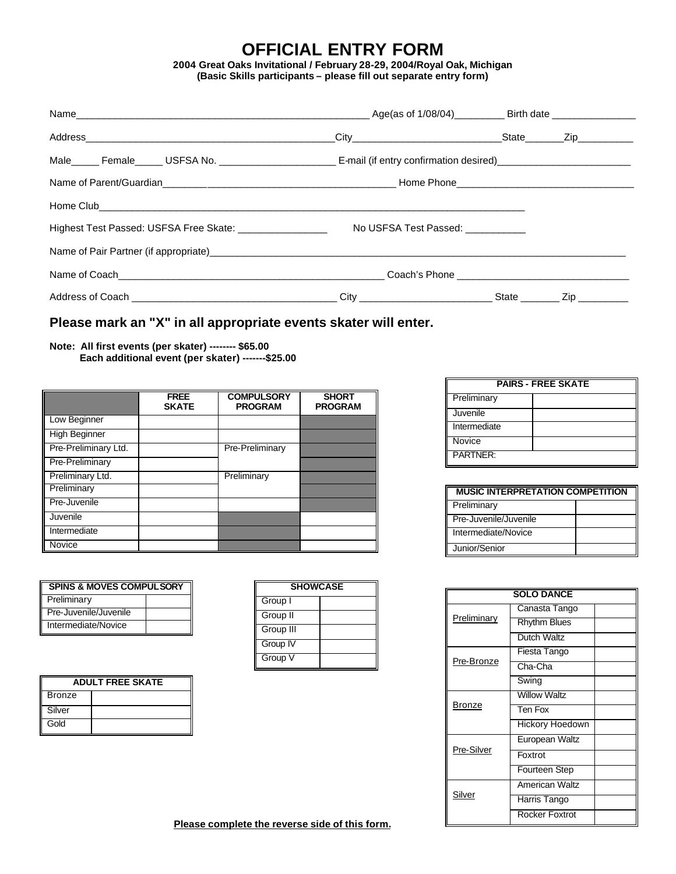## **OFFICIAL ENTRY FORM**

**2004 Great Oaks Invitational / February 28-29, 2004/Royal Oak, Michigan (Basic Skills participants – please fill out separate entry form)**

| Highest Test Passed: USFSA Free Skate: ___________________ No USFSA Test Passed: ___________ |  |  |
|----------------------------------------------------------------------------------------------|--|--|
|                                                                                              |  |  |
|                                                                                              |  |  |
|                                                                                              |  |  |

### **Please mark an "X" in all appropriate events skater will enter.**

#### **Note: All first events (per skater) -------- \$65.00 Each additional event (per skater) -------\$25.00**

|                             | <b>FREE</b><br><b>SKATE</b> | <b>COMPULSORY</b><br><b>PROGRAM</b> | <b>SHORT</b><br><b>PROGRAM</b> |
|-----------------------------|-----------------------------|-------------------------------------|--------------------------------|
| Low Beginner<br>$\mathsf I$ |                             |                                     |                                |
| <b>High Beginner</b>        |                             |                                     |                                |
| Pre-Preliminary Ltd.        |                             | Pre-Preliminary                     |                                |
| Pre-Preliminary             |                             |                                     |                                |
| Preliminary Ltd.            |                             | Preliminary                         |                                |
| Preliminary                 |                             |                                     |                                |
| Pre-Juvenile                |                             |                                     |                                |
| Juvenile                    |                             |                                     |                                |
| Intermediate                |                             |                                     |                                |
| Novice                      |                             |                                     |                                |

| <b>SPINS &amp; MOVES COMPULSORY</b> |  |
|-------------------------------------|--|
| Preliminary                         |  |
| Pre-Juvenile/Juvenile               |  |
| Intermediate/Novice                 |  |

| <b>ADULT FREE SKATE</b> |  |
|-------------------------|--|
| <b>Bronze</b>           |  |
| Silver                  |  |
| Gold                    |  |

| <b>SHOWCASE</b> |  |
|-----------------|--|
| Group I         |  |
| Group II        |  |
| Group III       |  |
| Group IV        |  |
| Group V         |  |

| <b>PAIRS - FREE SKATE</b> |  |  |
|---------------------------|--|--|
| Preliminary               |  |  |
| Juvenile                  |  |  |
| Intermediate              |  |  |
| Novice                    |  |  |
| <b>PARTNER:</b>           |  |  |

| <b>MUSIC INTERPRETATION COMPETITION</b> |  |  |
|-----------------------------------------|--|--|
| Preliminary                             |  |  |
| Pre-Juvenile/Juvenile                   |  |  |
| Intermediate/Novice                     |  |  |
| Junior/Senior                           |  |  |

| <b>SOLO DANCE</b> |                        |  |
|-------------------|------------------------|--|
|                   | Canasta Tango          |  |
| Preliminary       | <b>Rhythm Blues</b>    |  |
|                   | Dutch Waltz            |  |
|                   | Fiesta Tango           |  |
| Pre-Bronze        | Cha-Cha                |  |
|                   | Swing                  |  |
|                   | <b>Willow Waltz</b>    |  |
| Bronze            | Ten Fox                |  |
|                   | <b>Hickory Hoedown</b> |  |
|                   | European Waltz         |  |
| Pre-Silver        | Foxtrot                |  |
|                   | Fourteen Step          |  |
|                   | American Waltz         |  |
| <u>Silver</u>     | Harris Tango           |  |
|                   | Rocker Foxtrot         |  |

 **Please complete the reverse side of this form.**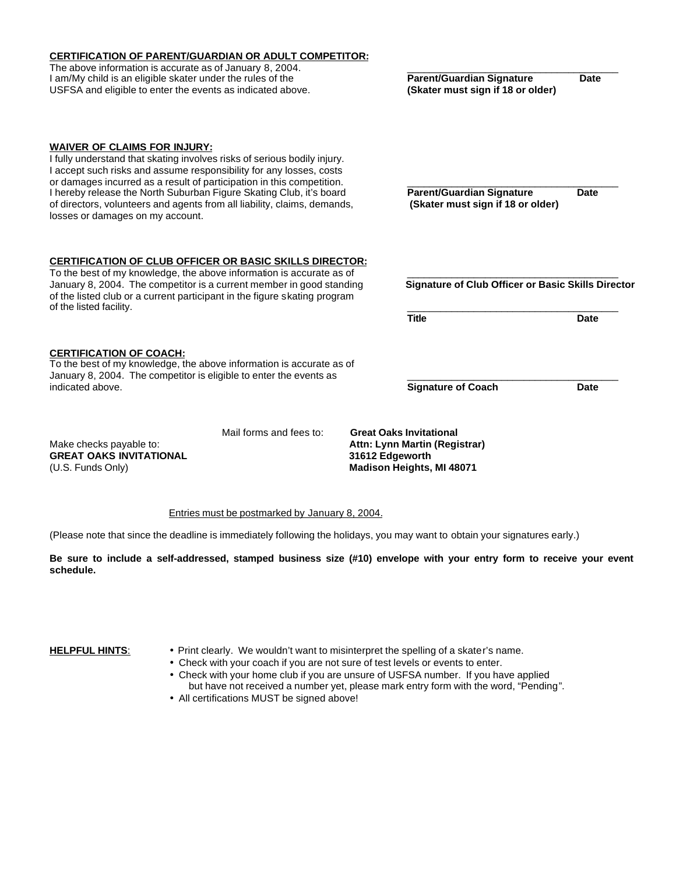| <b>CERTIFICATION OF PARENT/GUARDIAN OR ADULT COMPETITOR:</b>                                                                                                                                                                                                                                                                                                                                                                                           |                         |                 |                                                                                                     |             |  |
|--------------------------------------------------------------------------------------------------------------------------------------------------------------------------------------------------------------------------------------------------------------------------------------------------------------------------------------------------------------------------------------------------------------------------------------------------------|-------------------------|-----------------|-----------------------------------------------------------------------------------------------------|-------------|--|
| The above information is accurate as of January 8, 2004.<br>I am/My child is an eligible skater under the rules of the<br>USFSA and eligible to enter the events as indicated above.                                                                                                                                                                                                                                                                   |                         |                 | <b>Parent/Guardian Signature</b><br><b>Date</b><br>(Skater must sign if 18 or older)                |             |  |
| <b>WAIVER OF CLAIMS FOR INJURY:</b><br>I fully understand that skating involves risks of serious bodily injury.<br>I accept such risks and assume responsibility for any losses, costs<br>or damages incurred as a result of participation in this competition.<br>I hereby release the North Suburban Figure Skating Club, it's board<br>of directors, volunteers and agents from all liability, claims, demands,<br>losses or damages on my account. |                         |                 | <b>Parent/Guardian Signature</b><br>(Skater must sign if 18 or older)                               | Date        |  |
| <b>CERTIFICATION OF CLUB OFFICER OR BASIC SKILLS DIRECTOR:</b><br>To the best of my knowledge, the above information is accurate as of<br>January 8, 2004. The competitor is a current member in good standing<br>of the listed club or a current participant in the figure skating program<br>of the listed facility.                                                                                                                                 |                         |                 | <b>Signature of Club Officer or Basic Skills Director</b>                                           |             |  |
|                                                                                                                                                                                                                                                                                                                                                                                                                                                        |                         |                 | <b>Title</b>                                                                                        | <b>Date</b> |  |
| <b>CERTIFICATION OF COACH:</b><br>To the best of my knowledge, the above information is accurate as of<br>January 8, 2004. The competitor is eligible to enter the events as                                                                                                                                                                                                                                                                           |                         |                 |                                                                                                     |             |  |
| indicated above.                                                                                                                                                                                                                                                                                                                                                                                                                                       |                         |                 | <b>Signature of Coach</b>                                                                           | <b>Date</b> |  |
| Make checks payable to:<br><b>GREAT OAKS INVITATIONAL</b><br>(U.S. Funds Only)                                                                                                                                                                                                                                                                                                                                                                         | Mail forms and fees to: | 31612 Edgeworth | <b>Great Oaks Invitational</b><br>Attn: Lynn Martin (Registrar)<br><b>Madison Heights, MI 48071</b> |             |  |

#### Entries must be postmarked by January 8, 2004.

(Please note that since the deadline is immediately following the holidays, you may want to obtain your signatures early.)

**Be sure to include a self-addressed, stamped business size (#10) envelope with your entry form to receive your event schedule.**

**HELPFUL HINTS:** • Print clearly. We wouldn't want to misinterpret the spelling of a skater's name.

• Check with your coach if you are not sure of test levels or events to enter.

- Check with your home club if you are unsure of USFSA number. If you have applied but have not received a number yet, please mark entry form with the word, "Pending".
- All certifications MUST be signed above!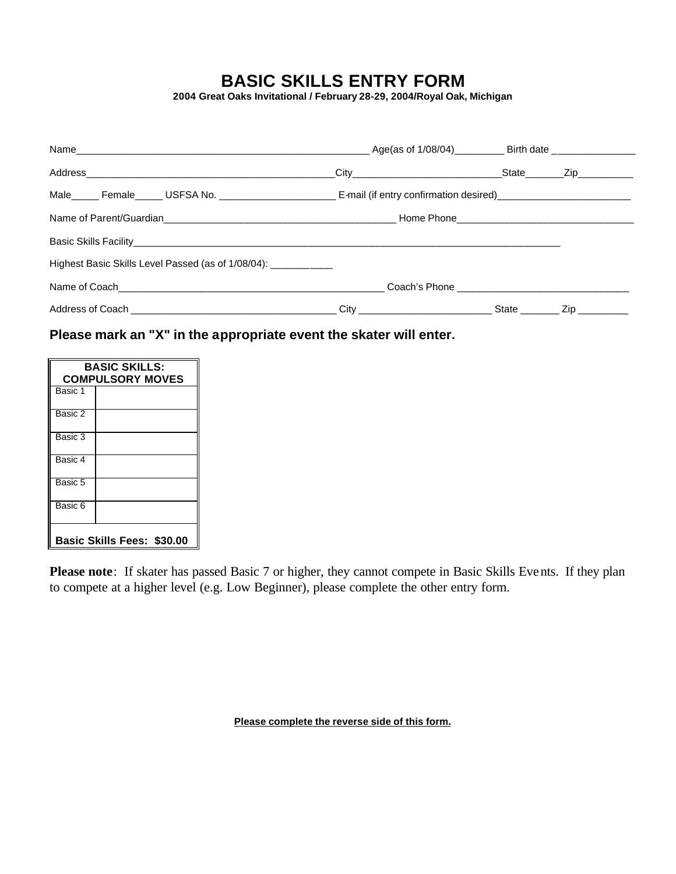# **BASIC SKILLS ENTRY FORM**

**2004 Great Oaks Invitational / February 28-29, 2004/Royal Oak, Michigan**

|                                                               | _ Age(as of 1/08/04)___________ Birth date ________________ |                             |  |
|---------------------------------------------------------------|-------------------------------------------------------------|-----------------------------|--|
|                                                               |                                                             | _State________Zip__________ |  |
|                                                               |                                                             |                             |  |
|                                                               |                                                             |                             |  |
|                                                               |                                                             |                             |  |
| Highest Basic Skills Level Passed (as of 1/08/04): __________ |                                                             |                             |  |
|                                                               |                                                             |                             |  |
|                                                               |                                                             |                             |  |

**Please mark an "X" in the appropriate event the skater will enter.**

| <b>BASIC SKILLS:</b><br><b>COMPULSORY MOVES</b> |  |  |
|-------------------------------------------------|--|--|
| Basic 1                                         |  |  |
| Basic 2                                         |  |  |
| Basic 3                                         |  |  |
| Basic 4                                         |  |  |
| Basic 5                                         |  |  |
| Basic 6                                         |  |  |
| Basic Skills Fees: \$30.00                      |  |  |

**Please note**: If skater has passed Basic 7 or higher, they cannot compete in Basic Skills Events. If they plan to compete at a higher level (e.g. Low Beginner), please complete the other entry form.

**Please complete the reverse side of this form.**